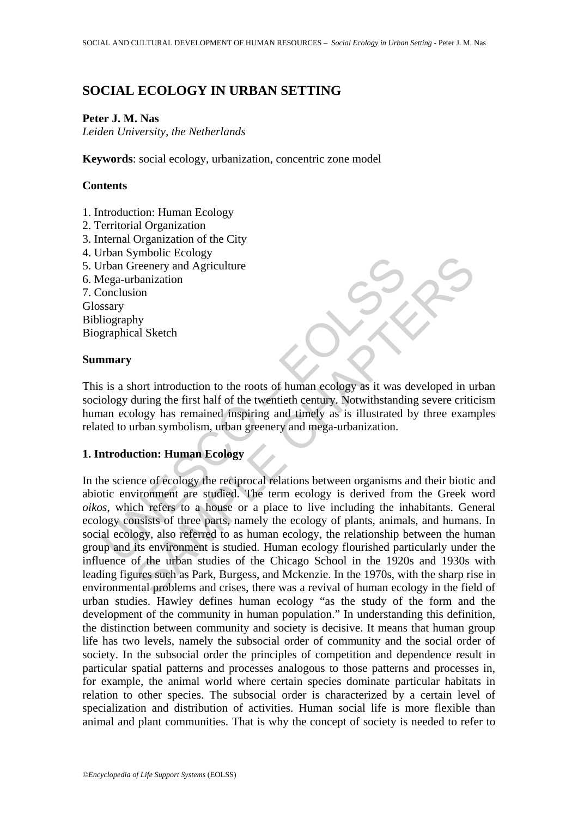# **SOCIAL ECOLOGY IN URBAN SETTING**

### **Peter J. M. Nas**

*Leiden University, the Netherlands* 

**Keywords**: social ecology, urbanization, concentric zone model

## **Contents**

- 1. Introduction: Human Ecology
- 2. Territorial Organization
- 3. Internal Organization of the City
- 4. Urban Symbolic Ecology
- 5. Urban Greenery and Agriculture
- 6. Mega-urbanization
- 7. Conclusion

Glossary Bibliography

Biographical Sketch

#### **Summary**

This is a short introduction to the roots of human ecology as it was developed in urban sociology during the first half of the twentieth century. Notwithstanding severe criticism human ecology has remained inspiring and timely as is illustrated by three examples related to urban symbolism, urban greenery and mega-urbanization.

### **1. Introduction: Human Ecology**

Fran Greenery and Agriculture<br>
Transmary<br>
Iroga-urbanization<br>
Search Lega-urbanization<br>
Search Lega-urbanization<br>
In a mary<br>
sigraphy<br>
sigraphy<br>
sigraphy<br>
in a start introduction to the roots of human ecology as it was col Solution<br>
The change of Aurelian Agriculture<br>
the change the translation<br>
on<br>
the metry and Agriculture<br>
banization<br>
on<br>
the first half of the twentieth century. Notwithstanding severe critic<br>
ology has remained inspiring In the science of ecology the reciprocal relations between organisms and their biotic and abiotic environment are studied. The term ecology is derived from the Greek word *oikos*, which refers to a house or a place to live including the inhabitants. General ecology consists of three parts, namely the ecology of plants, animals, and humans. In social ecology, also referred to as human ecology, the relationship between the human group and its environment is studied. Human ecology flourished particularly under the influence of the urban studies of the Chicago School in the 1920s and 1930s with leading figures such as Park, Burgess, and Mckenzie. In the 1970s, with the sharp rise in environmental problems and crises, there was a revival of human ecology in the field of urban studies. Hawley defines human ecology "as the study of the form and the development of the community in human population." In understanding this definition, the distinction between community and society is decisive. It means that human group life has two levels, namely the subsocial order of community and the social order of society. In the subsocial order the principles of competition and dependence result in particular spatial patterns and processes analogous to those patterns and processes in, for example, the animal world where certain species dominate particular habitats in relation to other species. The subsocial order is characterized by a certain level of specialization and distribution of activities. Human social life is more flexible than animal and plant communities. That is why the concept of society is needed to refer to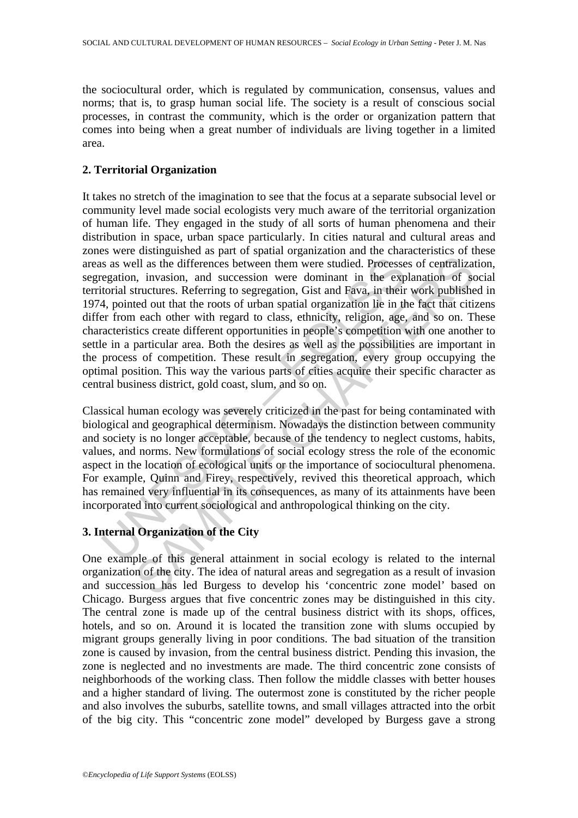the sociocultural order, which is regulated by communication, consensus, values and norms; that is, to grasp human social life. The society is a result of conscious social processes, in contrast the community, which is the order or organization pattern that comes into being when a great number of individuals are living together in a limited area.

## **2. Territorial Organization**

is as well as the differences between them were studied. Processe egation, invasion, and succession were dominant in the explorial structures. Referring to segregation, Gist and Fava, in their 4, pointed out that the roots Ill as the differences between them were studied. Processes of centralizatiles ill as the differences between them were studied. Processes of centralizatiles, it mussion, and succession were dominant in the explanation of It takes no stretch of the imagination to see that the focus at a separate subsocial level or community level made social ecologists very much aware of the territorial organization of human life. They engaged in the study of all sorts of human phenomena and their distribution in space, urban space particularly. In cities natural and cultural areas and zones were distinguished as part of spatial organization and the characteristics of these areas as well as the differences between them were studied. Processes of centralization, segregation, invasion, and succession were dominant in the explanation of social territorial structures. Referring to segregation, Gist and Fava, in their work published in 1974, pointed out that the roots of urban spatial organization lie in the fact that citizens differ from each other with regard to class, ethnicity, religion, age, and so on. These characteristics create different opportunities in people's competition with one another to settle in a particular area. Both the desires as well as the possibilities are important in the process of competition. These result in segregation, every group occupying the optimal position. This way the various parts of cities acquire their specific character as central business district, gold coast, slum, and so on.

Classical human ecology was severely criticized in the past for being contaminated with biological and geographical determinism. Nowadays the distinction between community and society is no longer acceptable, because of the tendency to neglect customs, habits, values, and norms. New formulations of social ecology stress the role of the economic aspect in the location of ecological units or the importance of sociocultural phenomena. For example, Quinn and Firey, respectively, revived this theoretical approach, which has remained very influential in its consequences, as many of its attainments have been incorporated into current sociological and anthropological thinking on the city.

## **3. Internal Organization of the City**

One example of this general attainment in social ecology is related to the internal organization of the city. The idea of natural areas and segregation as a result of invasion and succession has led Burgess to develop his 'concentric zone model' based on Chicago. Burgess argues that five concentric zones may be distinguished in this city. The central zone is made up of the central business district with its shops, offices, hotels, and so on. Around it is located the transition zone with slums occupied by migrant groups generally living in poor conditions. The bad situation of the transition zone is caused by invasion, from the central business district. Pending this invasion, the zone is neglected and no investments are made. The third concentric zone consists of neighborhoods of the working class. Then follow the middle classes with better houses and a higher standard of living. The outermost zone is constituted by the richer people and also involves the suburbs, satellite towns, and small villages attracted into the orbit of the big city. This "concentric zone model" developed by Burgess gave a strong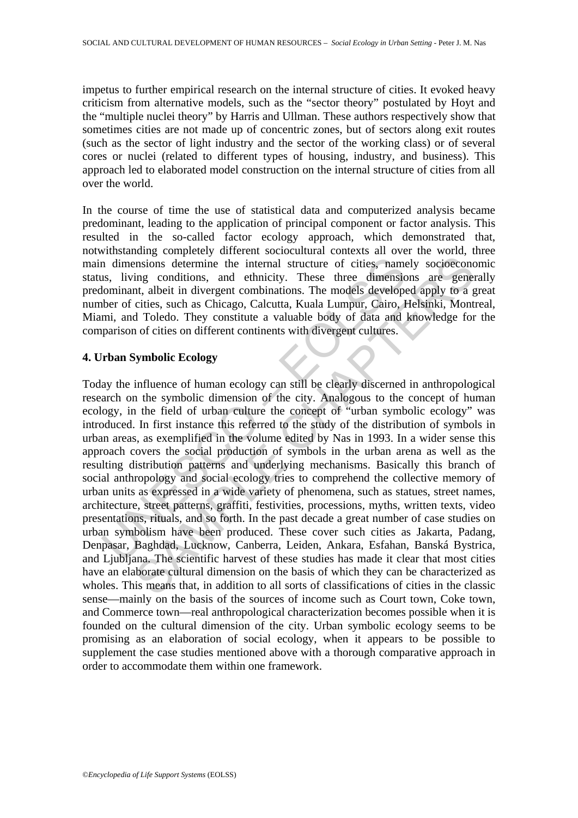impetus to further empirical research on the internal structure of cities. It evoked heavy criticism from alternative models, such as the "sector theory" postulated by Hoyt and the "multiple nuclei theory" by Harris and Ullman. These authors respectively show that sometimes cities are not made up of concentric zones, but of sectors along exit routes (such as the sector of light industry and the sector of the working class) or of several cores or nuclei (related to different types of housing, industry, and business). This approach led to elaborated model construction on the internal structure of cities from all over the world.

In the course of time the use of statistical data and computerized analysis became predominant, leading to the application of principal component or factor analysis. This resulted in the so-called factor ecology approach, which demonstrated that, notwithstanding completely different sociocultural contexts all over the world, three main dimensions determine the internal structure of cities, namely socioeconomic status, living conditions, and ethnicity. These three dimensions are generally predominant, albeit in divergent combinations. The models developed apply to a great number of cities, such as Chicago, Calcutta, Kuala Lumpur, Cairo, Helsinki, Montreal, Miami, and Toledo. They constitute a valuable body of data and knowledge for the comparison of cities on different continents with divergent cultures.

#### **4. Urban Symbolic Ecology**

In dimensions determine the internal structure of cities, name<br>st, living conditions, and ethnicity. These three dimensic<br>lominant, albeit in divergent combinations. The models develope<br>ber of cities, such as Chicago, Calc missions determine the internal structure of cities, namely socioeconoming conditions, and ethnicity. These three dimensions are generations, and ethnicity. These three dimensions are generations, and ethnicity. These thre Today the influence of human ecology can still be clearly discerned in anthropological research on the symbolic dimension of the city. Analogous to the concept of human ecology, in the field of urban culture the concept of "urban symbolic ecology" was introduced. In first instance this referred to the study of the distribution of symbols in urban areas, as exemplified in the volume edited by Nas in 1993. In a wider sense this approach covers the social production of symbols in the urban arena as well as the resulting distribution patterns and underlying mechanisms. Basically this branch of social anthropology and social ecology tries to comprehend the collective memory of urban units as expressed in a wide variety of phenomena, such as statues, street names, architecture, street patterns, graffiti, festivities, processions, myths, written texts, video presentations, rituals, and so forth. In the past decade a great number of case studies on urban symbolism have been produced. These cover such cities as Jakarta, Padang, Denpasar, Baghdad, Lucknow, Canberra, Leiden, Ankara, Esfahan, Banská Bystrica, and Ljubljana. The scientific harvest of these studies has made it clear that most cities have an elaborate cultural dimension on the basis of which they can be characterized as wholes. This means that, in addition to all sorts of classifications of cities in the classic sense—mainly on the basis of the sources of income such as Court town, Coke town, and Commerce town—real anthropological characterization becomes possible when it is founded on the cultural dimension of the city. Urban symbolic ecology seems to be promising as an elaboration of social ecology, when it appears to be possible to supplement the case studies mentioned above with a thorough comparative approach in order to accommodate them within one framework.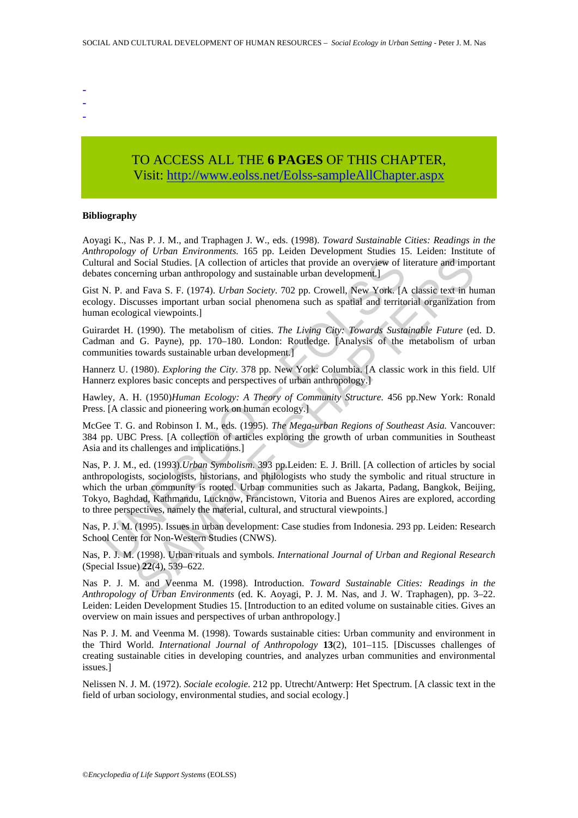- -
- -

# TO ACCESS ALL THE **6 PAGES** OF THIS CHAPTER, Visit[: http://www.eolss.net/Eolss-sampleAllChapter.aspx](https://www.eolss.net/ebooklib/sc_cart.aspx?File=E1-11-02-05)

#### **Bibliography**

Aoyagi K., Nas P. J. M., and Traphagen J. W., eds. (1998). *Toward Sustainable Cities: Readings in the Anthropology of Urban Environments.* 165 pp. Leiden Development Studies 15. Leiden: Institute of Cultural and Social Studies. [A collection of articles that provide an overview of literature and important debates concerning urban anthropology and sustainable urban development.]

Gist N. P. and Fava S. F. (1974). *Urban Society*. 702 pp. Crowell, New York. [A classic text in human ecology. Discusses important urban social phenomena such as spatial and territorial organization from human ecological viewpoints.]

Guirardet H. (1990). The metabolism of cities. *The Living City: Towards Sustainable Future* (ed. D. Cadman and G. Payne), pp. 170–180. London: Routledge. [Analysis of the metabolism of urban communities towards sustainable urban development.]

Hannerz U. (1980). *Exploring the City*. 378 pp. New York: Columbia. [A classic work in this field. Ulf Hannerz explores basic concepts and perspectives of urban anthropology.]

Hawley, A. H. (1950)*Human Ecology: A Theory of Community Structure.* 456 pp.New York: Ronald Press. [A classic and pioneering work on human ecology.]

McGee T. G. and Robinson I. M., eds. (1995). *The Mega-urban Regions of Southeast Asia.* Vancouver: 384 pp. UBC Press. [A collection of articles exploring the growth of urban communities in Southeast Asia and its challenges and implications.]

ral and Social Studies. [A collection of articles that provide an overview of lites concerning urban anthropology and sustainable urban development.]<br>
N. P. and Fava S. F. (1974). *Urban Society*. 702 pp. Crowell, New York Note that means are the constrained and the means are the sections.<br>
(A collection of articles that provide an overview of literature and impering urban anthropology and sustainable urban development.]<br>
(1990). The metabo Nas, P. J. M., ed. (1993).*Urban Symbolism*. 393 pp.Leiden: E. J. Brill. [A collection of articles by social anthropologists, sociologists, historians, and philologists who study the symbolic and ritual structure in which the urban community is rooted. Urban communities such as Jakarta, Padang, Bangkok, Beijing, Tokyo, Baghdad, Kathmandu, Lucknow, Francistown, Vitoria and Buenos Aires are explored, according to three perspectives, namely the material, cultural, and structural viewpoints.]

Nas, P. J. M. (1995). Issues in urban development: Case studies from Indonesia. 293 pp. Leiden: Research School Center for Non-Western Studies (CNWS).

Nas, P. J. M. (1998). Urban rituals and symbols. *International Journal of Urban and Regional Research* (Special Issue) **22**(4), 539–622.

Nas P. J. M. and Veenma M. (1998). Introduction. *Toward Sustainable Cities: Readings in the Anthropology of Urban Environments* (ed. K. Aoyagi, P. J. M. Nas, and J. W. Traphagen), pp. 3–22. Leiden: Leiden Development Studies 15. [Introduction to an edited volume on sustainable cities. Gives an overview on main issues and perspectives of urban anthropology.]

Nas P. J. M. and Veenma M. (1998). Towards sustainable cities: Urban community and environment in the Third World. *International Journal of Anthropology* **13**(2), 101–115. [Discusses challenges of creating sustainable cities in developing countries, and analyzes urban communities and environmental issues.]

Nelissen N. J. M. (1972). *Sociale ecologie*. 212 pp. Utrecht/Antwerp: Het Spectrum. [A classic text in the field of urban sociology, environmental studies, and social ecology.]